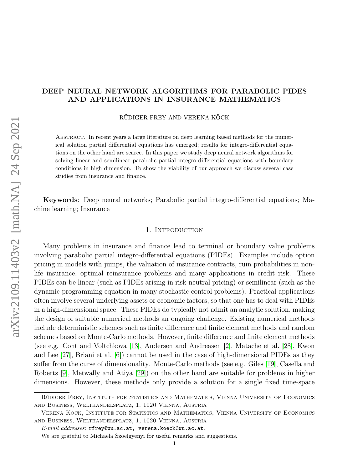# DEEP NEURAL NETWORK ALGORITHMS FOR PARABOLIC PIDES AND APPLICATIONS IN INSURANCE MATHEMATICS

RÜDIGER FREY AND VERENA KÖCK

Abstract. In recent years a large literature on deep learning based methods for the numerical solution partial differential equations has emerged; results for integro-differential equations on the other hand are scarce. In this paper we study deep neural network algorithms for solving linear and semilinear parabolic partial integro-differential equations with boundary conditions in high dimension. To show the viability of our approach we discuss several case studies from insurance and finance.

Keywords: Deep neural networks; Parabolic partial integro-differential equations; Machine learning; Insurance

#### 1. Introduction

Many problems in insurance and finance lead to terminal or boundary value problems involving parabolic partial integro-differential equations (PIDEs). Examples include option pricing in models with jumps, the valuation of insurance contracts, ruin probabilities in nonlife insurance, optimal reinsurance problems and many applications in credit risk. These PIDEs can be linear (such as PIDEs arising in risk-neutral pricing) or semilinear (such as the dynamic programming equation in many stochastic control problems). Practical applications often involve several underlying assets or economic factors, so that one has to deal with PIDEs in a high-dimensional space. These PIDEs do typically not admit an analytic solution, making the design of suitable numerical methods an ongoing challenge. Existing numerical methods include deterministic schemes such as finite difference and finite element methods and random schemes based on Monte-Carlo methods. However, finite difference and finite element methods (see e.g. Cont and Voltchkova [\[13\]](#page-22-0), Andersen and Andreasen [\[2\]](#page-21-0), Matache et al. [\[28\]](#page-23-0), Kwon and Lee [\[27\]](#page-23-1), Briani et al. [\[6\]](#page-22-1)) cannot be used in the case of high-dimensional PIDEs as they suffer from the curse of dimensionality. Monte-Carlo methods (see e.g. Giles [\[19\]](#page-22-2), Casella and Roberts [\[9\]](#page-22-3), Metwally and Atiya [\[29\]](#page-23-2)) on the other hand are suitable for problems in higher dimensions. However, these methods only provide a solution for a single fixed time-space

Rüdiger Frey, Institute for Statistics and Mathematics, Vienna University of Economics and Business, Welthandelsplatz, 1, 1020 Vienna, Austria

Verena Köck, Institute for Statistics and Mathematics, Vienna University of Economics and Business, Welthandelsplatz, 1, 1020 Vienna, Austria

 $E\text{-}mail\;addresses: \; \texttt{rfrey@wu.ac.at}, \; \texttt{verena.koeck@wu.ac.at}.$ 

We are grateful to Michaela Szoelgyenyi for useful remarks and suggestions.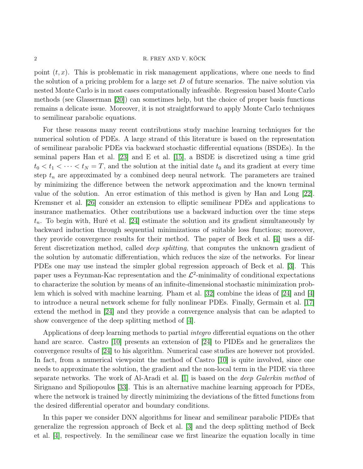point  $(t, x)$ . This is problematic in risk management applications, where one needs to find the solution of a pricing problem for a large set  $D$  of future scenarios. The naive solution via nested Monte Carlo is in most cases computationally infeasible. Regression based Monte Carlo methods (see Glasserman [\[20\]](#page-23-3)) can sometimes help, but the choice of proper basis functions remains a delicate issue. Moreover, it is not straightforward to apply Monte Carlo techniques to semilinear parabolic equations.

For these reasons many recent contributions study machine learning techniques for the numerical solution of PDEs. A large strand of this literature is based on the representation of semilinear parabolic PDEs via backward stochastic differential equations (BSDEs). In the seminal papers Han et al. [\[23\]](#page-23-4) and E et al. [\[15\]](#page-22-4), a BSDE is discretized using a time grid  $t_0 < t_1 < \cdots < t_N = T$ , and the solution at the initial date  $t_0$  and its gradient at every time step  $t_n$  are approximated by a combined deep neural network. The parameters are trained by minimizing the difference between the network approximation and the known terminal value of the solution. An error estimation of this method is given by Han and Long [\[22\]](#page-23-5). Kremsner et al. [\[26\]](#page-23-6) consider an extension to elliptic semilinear PDEs and applications to insurance mathematics. Other contributions use a backward induction over the time steps  $t_n$ . To begin with, Huré et al. [\[24\]](#page-23-7) estimate the solution and its gradient simultaneously by backward induction through sequential minimizations of suitable loss functions; moreover, they provide convergence results for their method. The paper of Beck et al. [\[4\]](#page-22-5) uses a different discretization method, called deep splitting, that computes the unknown gradient of the solution by automatic differentiation, which reduces the size of the networks. For linear PDEs one may use instead the simpler global regression approach of Beck et al. [\[3\]](#page-22-6). This paper uses a Feynman-Kac representation and the  $\mathcal{L}^2$ -minimality of conditional expectations to characterize the solution by means of an infinite-dimensional stochastic minimization problem which is solved with machine learning. Pham et al. [\[32\]](#page-23-8) combine the ideas of [\[24\]](#page-23-7) and [\[4\]](#page-22-5) to introduce a neural network scheme for fully nonlinear PDEs. Finally, Germain et al. [\[17\]](#page-22-7) extend the method in [\[24\]](#page-23-7) and they provide a convergence analysis that can be adapted to show convergence of the deep splitting method of [\[4\]](#page-22-5).

Applications of deep learning methods to partial integro differential equations on the other hand are scarce. Castro [\[10\]](#page-22-8) presents an extension of [\[24\]](#page-23-7) to PIDEs and he generalizes the convergence results of [\[24\]](#page-23-7) to his algorithm. Numerical case studies are however not provided. In fact, from a numerical viewpoint the method of Castro [\[10\]](#page-22-8) is quite involved, since one needs to approximate the solution, the gradient and the non-local term in the PIDE via three separate networks. The work of Al-Aradi et al. [\[1\]](#page-21-1) is based on the deep Galerkin method of Sirignano and Spiliopoulos [\[33\]](#page-23-9). This is an alternative machine learning approach for PDEs, where the network is trained by directly minimizing the deviations of the fitted functions from the desired differential operator and boundary conditions.

In this paper we consider DNN algorithms for linear and semilinear parabolic PIDEs that generalize the regression approach of Beck et al. [\[3\]](#page-22-6) and the deep splitting method of Beck et al. [\[4\]](#page-22-5), respectively. In the semilinear case we first linearize the equation locally in time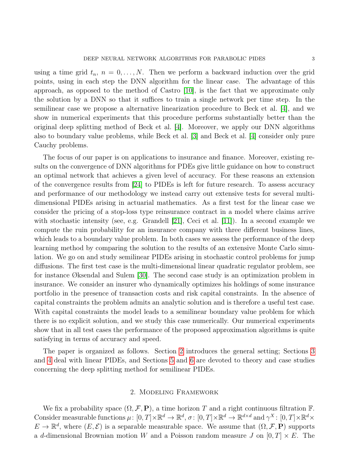using a time grid  $t_n$ ,  $n = 0, \ldots, N$ . Then we perform a backward induction over the grid points, using in each step the DNN algorithm for the linear case. The advantage of this approach, as opposed to the method of Castro [\[10\]](#page-22-8), is the fact that we approximate only the solution by a DNN so that it suffices to train a single network per time step. In the semilinear case we propose a alternative linearization procedure to Beck et al. [\[4\]](#page-22-5), and we show in numerical experiments that this procedure performs substantially better than the original deep splitting method of Beck et al. [\[4\]](#page-22-5). Moreover, we apply our DNN algorithms also to boundary value problems, while Beck et al. [\[3\]](#page-22-6) and Beck et al. [\[4\]](#page-22-5) consider only pure Cauchy problems.

The focus of our paper is on applications to insurance and finance. Moreover, existing results on the convergence of DNN algorithms for PDEs give little guidance on how to construct an optimal network that achieves a given level of accuracy. For these reasons an extension of the convergence results from [\[24\]](#page-23-7) to PIDEs is left for future research. To assess accuracy and performance of our methodology we instead carry out extensive tests for several multidimensional PIDEs arising in actuarial mathematics. As a first test for the linear case we consider the pricing of a stop-loss type reinsurance contract in a model where claims arrive with stochastic intensity (see, e.g. Grandell [\[21\]](#page-23-10), Ceci et al. [\[11\]](#page-22-9)). In a second example we compute the ruin probability for an insurance company with three different business lines, which leads to a boundary value problem. In both cases we assess the performance of the deep learning method by comparing the solution to the results of an extensive Monte Carlo simulation. We go on and study semilinear PIDEs arising in stochastic control problems for jump diffusions. The first test case is the multi-dimensional linear quadratic regulator problem, see for instance Øksendal and Sulem [\[30\]](#page-23-11). The second case study is an optimization problem in insurance. We consider an insurer who dynamically optimizes his holdings of some insurance portfolio in the presence of transaction costs and risk capital constraints. In the absence of capital constraints the problem admits an analytic solution and is therefore a useful test case. With capital constraints the model leads to a semilinear boundary value problem for which there is no explicit solution, and we study this case numerically. Our numerical experiments show that in all test cases the performance of the proposed approximation algorithms is quite satisfying in terms of accuracy and speed.

The paper is organized as follows. Section [2](#page-2-0) introduces the general setting; Sections [3](#page-4-0) and [4](#page-6-0) deal with linear PIDEs, and Sections [5](#page-9-0) and [6](#page-12-0) are devoted to theory and case studies concerning the deep splitting method for semilinear PIDEs.

# 2. Modeling Framework

<span id="page-2-0"></span>We fix a probability space  $(\Omega, \mathcal{F}, P)$ , a time horizon T and a right continuous filtration F. Consider measurable functions  $\mu: [0, T] \times \mathbb{R}^d \to \mathbb{R}^d$ ,  $\sigma: [0, T] \times \mathbb{R}^d \to \mathbb{R}^{d \times d}$  and  $\gamma^X: [0, T] \times \mathbb{R}^d \times$  $E \to \mathbb{R}^d$ , where  $(E, \mathcal{E})$  is a separable measurable space. We assume that  $(\Omega, \mathcal{F}, \mathbf{P})$  supports a d-dimensional Brownian motion W and a Poisson random measure J on  $[0, T] \times E$ . The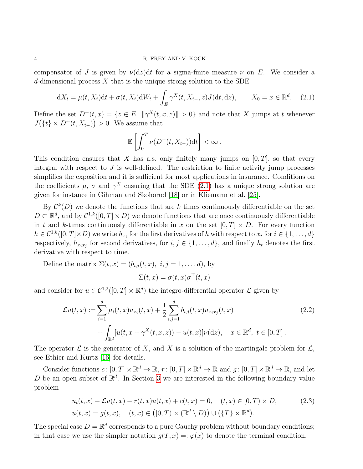compensator of J is given by  $\nu(\mathrm{d}z)\mathrm{d}t$  for a sigma-finite measure  $\nu$  on E. We consider a d-dimensional process  $X$  that is the unique strong solution to the SDE

$$
dX_t = \mu(t, X_t)dt + \sigma(t, X_t)dW_t + \int_E \gamma^X(t, X_{t-}, z)J(dt, dz), \qquad X_0 = x \in \mathbb{R}^d.
$$
 (2.1)

Define the set  $D^+(t,x) = \{z \in E : ||\gamma^X(t,x,z)|| > 0\}$  and note that X jumps at t whenever  $J({t} \times D^+(t, X_{t-})) > 0$ . We assume that

<span id="page-3-0"></span>
$$
\mathbb{E}\left[\int_0^T \nu(D^+(t,X_{t-}))\mathrm{d}t\right]<\infty.
$$

This condition ensures that X has a.s. only finitely many jumps on  $[0, T]$ , so that every integral with respect to  $J$  is well-defined. The restriction to finite activity jump processes simplifies the exposition and it is sufficient for most applications in insurance. Conditions on the coefficients  $\mu$ ,  $\sigma$  and  $\gamma^X$  ensuring that the SDE [\(2.1\)](#page-3-0) has a unique strong solution are given for instance in Gihman and Skohorod [\[18\]](#page-22-10) or in Kliemann et al. [\[25\]](#page-23-12).

By  $\mathcal{C}^k(D)$  we denote the functions that are k times continuously differentiable on the set  $D \subset \mathbb{R}^d$ , and by  $\mathcal{C}^{1,k}([0,T] \times D)$  we denote functions that are once continuously differentiable in t and k-times continuously differentiable in x on the set  $[0, T] \times D$ . For every function  $h \in C^{1,k}([0,T] \times D)$  we write  $h_{x_i}$  for the first derivatives of h with respect to  $x_i$  for  $i \in \{1,\ldots,d\}$ respectively,  $h_{x_ix_j}$  for second derivatives, for  $i, j \in \{1, \ldots, d\}$ , and finally  $h_t$  denotes the first derivative with respect to time.

Define the matrix  $\Sigma(t, x) = (b_{i,j}(t, x), i, j = 1, \dots, d)$ , by  $\Sigma(t,x) = \sigma(t,x)\sigma^{\top}(t,x)$ 

and consider for  $u \in C^{1,2}([0,T] \times \mathbb{R}^d)$  the integro-differential operator  $\mathcal L$  given by

<span id="page-3-2"></span>
$$
\mathcal{L}u(t,x) := \sum_{i=1}^{d} \mu_i(t,x) u_{x_i}(t,x) + \frac{1}{2} \sum_{i,j=1}^{d} b_{i,j}(t,x) u_{x_ix_j}(t,x) + \int_{\mathbb{R}^d} [u(t,x+\gamma^X(t,x,z)) - u(t,x)] \nu(\mathrm{d}z), \quad x \in \mathbb{R}^d, \ t \in [0,T].
$$
\n(2.2)

The operator  $\mathcal L$  is the generator of X, and X is a solution of the martingale problem for  $\mathcal L$ , see Ethier and Kurtz [\[16\]](#page-22-11) for details.

Consider functions  $c: [0, T] \times \mathbb{R}^d \to \mathbb{R}, r: [0, T] \times \mathbb{R}^d \to \mathbb{R}$  and  $g: [0, T] \times \mathbb{R}^d \to \mathbb{R}$ , and let D be an open subset of  $\mathbb{R}^d$ . In Section [3](#page-4-0) we are interested in the following boundary value problem

<span id="page-3-1"></span>
$$
u_t(t,x) + \mathcal{L}u(t,x) - r(t,x)u(t,x) + c(t,x) = 0, \quad (t,x) \in [0,T) \times D,
$$
  

$$
u(t,x) = g(t,x), \quad (t,x) \in ([0,T) \times (\mathbb{R}^d \setminus D)) \cup (\{T\} \times \mathbb{R}^d).
$$
 (2.3)

The special case  $D = \mathbb{R}^d$  corresponds to a pure Cauchy problem without boundary conditions; in that case we use the simpler notation  $g(T, x) =: \varphi(x)$  to denote the terminal condition.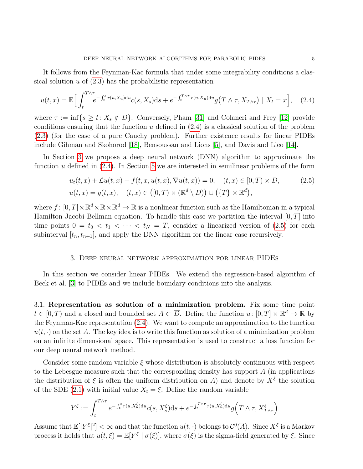It follows from the Feynman-Kac formula that under some integrability conditions a classical solution  $u$  of  $(2.3)$  has the probabilistic representation

$$
u(t,x) = \mathbb{E}\Big[\int_t^{T\wedge\tau} e^{-\int_t^s r(u,X_u)du} c(s,X_s)ds + e^{-\int_t^{T\wedge\tau} r(u,X_u)du} g\big(T\wedge\tau,X_{T\wedge\tau}\big) \mid X_t = x\Big], \quad (2.4)
$$

where  $\tau := \inf\{s \ge t : X_s \notin D\}$ . Conversely, Pham [\[31\]](#page-23-13) and Colaneri and Frey [\[12\]](#page-22-12) provide conditions ensuring that the function  $u$  defined in  $(2.4)$  is a classical solution of the problem [\(2.3\)](#page-3-1) (for the case of a pure Cauchy problem). Further existence results for linear PIDEs include Gihman and Skohorod [\[18\]](#page-22-10), Bensoussan and Lions [\[5\]](#page-22-13), and Davis and Lleo [\[14\]](#page-22-14).

In Section [3](#page-4-0) we propose a deep neural network (DNN) algorithm to approximate the function u defined in [\(2.4\)](#page-4-1). In Section [5](#page-9-0) we are interested in semilinear problems of the form

<span id="page-4-2"></span><span id="page-4-1"></span>
$$
u_t(t,x) + \mathcal{L}u(t,x) + f(t,x,u(t,x),\nabla u(t,x)) = 0, \quad (t,x) \in [0,T) \times D,
$$
  

$$
u(t,x) = g(t,x), \quad (t,x) \in ([0,T) \times (\mathbb{R}^d \setminus D)) \cup (\{T\} \times \mathbb{R}^d),
$$
 (2.5)

where  $f: [0, T] \times \mathbb{R}^d \times \mathbb{R} \times \mathbb{R}^d \to \mathbb{R}$  is a nonlinear function such as the Hamiltonian in a typical Hamilton Jacobi Bellman equation. To handle this case we partition the interval  $[0, T]$  into time points  $0 = t_0 < t_1 < \cdots < t_N = T$ , consider a linearized version of [\(2.5\)](#page-4-2) for each subinterval  $[t_n, t_{n+1}]$ , and apply the DNN algorithm for the linear case recursively.

#### 3. Deep neural network approximation for linear PIDEs

<span id="page-4-0"></span>In this section we consider linear PIDEs. We extend the regression-based algorithm of Beck et al. [\[3\]](#page-22-6) to PIDEs and we include boundary conditions into the analysis.

3.1. Representation as solution of a minimization problem. Fix some time point  $t \in [0, T)$  and a closed and bounded set  $A \subset \overline{D}$ . Define the function  $u : [0, T] \times \mathbb{R}^d \to \mathbb{R}$  by the Feynman-Kac representation [\(2.4\)](#page-4-1). We want to compute an approximation to the function  $u(t, \cdot)$  on the set A. The key idea is to write this function as solution of a minimization problem on an infinite dimensional space. This representation is used to construct a loss function for our deep neural network method.

Consider some random variable  $\xi$  whose distribution is absolutely continuous with respect to the Lebesgue measure such that the corresponding density has support  $A$  (in applications the distribution of  $\xi$  is often the uniform distribution on A) and denote by  $X^{\xi}$  the solution of the SDE [\(2.1\)](#page-3-0) with initial value  $X_t = \xi$ . Define the random variable

$$
Y^{\xi} := \int_{t}^{T \wedge \tau} e^{-\int_{t}^{s} r(u, X_u^{\xi}) \mathrm{d}u} c(s, X_s^{\xi}) \mathrm{d}s + e^{-\int_{t}^{T \wedge \tau} r(u, X_u^{\xi}) \mathrm{d}u} g(T \wedge \tau, X_{T \wedge \tau}^{\xi})
$$

Assume that  $\mathbb{E}[|Y^{\xi}|^2]<\infty$  and that the function  $u(t,\cdot)$  belongs to  $\mathcal{C}^0(\overline{A})$ . Since  $X^{\xi}$  is a Markov process it holds that  $u(t,\xi) = \mathbb{E}[Y^{\xi} | \sigma(\xi)]$ , where  $\sigma(\xi)$  is the sigma-field generated by  $\xi$ . Since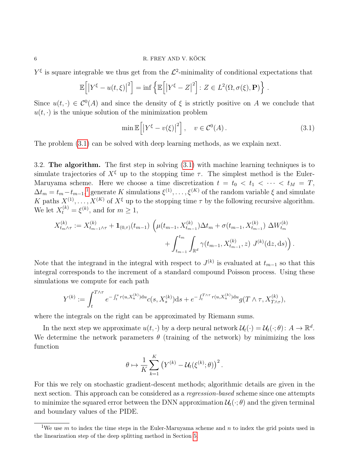$Y^{\xi}$  is square integrable we thus get from the  $\mathcal{L}^2$ -minimality of conditional expectations that

$$
\mathbb{E}\left[\left|Y^{\xi}-u(t,\xi)\right|^{2}\right]=\inf\left\{\mathbb{E}\left[\left|Y^{\xi}-Z\right|^{2}\right]:Z\in L^{2}(\Omega,\sigma(\xi),\mathbf{P})\right\}.
$$

Since  $u(t, \cdot) \in C^{0}(A)$  and since the density of  $\xi$  is strictly positive on A we conclude that  $u(t, \cdot)$  is the unique solution of the minimization problem

<span id="page-5-0"></span>
$$
\min \mathbb{E}\left[\left|Y^{\xi} - v(\xi)\right|^2\right], \quad v \in \mathcal{C}^0(A). \tag{3.1}
$$

The problem [\(3.1\)](#page-5-0) can be solved with deep learning methods, as we explain next.

3.2. The algorithm. The first step in solving [\(3.1\)](#page-5-0) with machine learning techniques is to simulate trajectories of  $X^{\xi}$  up to the stopping time  $\tau$ . The simplest method is the Euler-Maruyama scheme. Here we choose a time discretization  $t = t_0 < t_1 < \cdots < t_M = T$ ,  $\Delta t_m = t_m - t_{m-1}$  $\Delta t_m = t_m - t_{m-1}$  $\Delta t_m = t_m - t_{m-1}$ ,<sup>1</sup> generate K simulations  $\xi^{(1)}, \ldots, \xi^{(K)}$  of the random variable  $\xi$  and simulate K paths  $X^{(1)}, \ldots, X^{(K)}$  of  $X^{\xi}$  up to the stopping time  $\tau$  by the following recursive algorithm. We let  $X_t^{(k)} = \xi^{(k)}$ , and for  $m \ge 1$ ,

$$
X_{t_{m}\wedge\tau}^{(k)} := X_{t_{m-1}\wedge\tau}^{(k)} + \mathbf{1}_{(0,\tau)}(t_{m-1}) \left( \mu(t_{m-1}, X_{t_{m-1}}^{(k)}) \Delta t_m + \sigma(t_{m-1}, X_{t_{m-1}}^{(k)}) \Delta W_{t_m}^{(k)} + \int_{t_{m-1}}^{t_m} \int_{\mathbb{R}^d} \gamma(t_{m-1}, X_{t_{m-1}}^{(k)}, z) J^{(k)}(\mathrm{d}z, \mathrm{d}s) \right).
$$

Note that the integrand in the integral with respect to  $J^{(k)}$  is evaluated at  $t_{m-1}$  so that this integral corresponds to the increment of a standard compound Poisson process. Using these simulations we compute for each path

$$
Y^{(k)} := \int_{t}^{T \wedge \tau} e^{-\int_{t}^{s} r(u, X_{u}^{(k)}) \mathrm{d}u} c(s, X_{s}^{(k)}) \mathrm{d}s + e^{-\int_{t}^{T \wedge \tau} r(u, X_{u}^{(k)}) \mathrm{d}u} g(T \wedge \tau, X_{T \wedge \tau}^{(k)}),
$$

where the integrals on the right can be approximated by Riemann sums.

In the next step we approximate  $u(t, \cdot)$  by a deep neural network  $\mathcal{U}_t(\cdot) = \mathcal{U}_t(\cdot; \theta)$ :  $A \to \mathbb{R}^d$ . We determine the network parameters  $\theta$  (training of the network) by minimizing the loss function

$$
\theta \mapsto \frac{1}{K} \sum_{k=1}^K \left( Y^{(k)} - \mathcal{U}_t(\xi^{(k)}; \theta) \right)^2.
$$

For this we rely on stochastic gradient-descent methods; algorithmic details are given in the next section. This approach can be considered as a regression-based scheme since one attempts to minimize the squared error between the DNN approximation  $\mathcal{U}_t(\cdot;\theta)$  and the given terminal and boundary values of the PIDE.

<span id="page-5-1"></span><sup>&</sup>lt;sup>1</sup>We use m to index the time steps in the Euler-Maruyama scheme and n to index the grid points used in the linearization step of the deep splitting method in Section [5.](#page-9-0)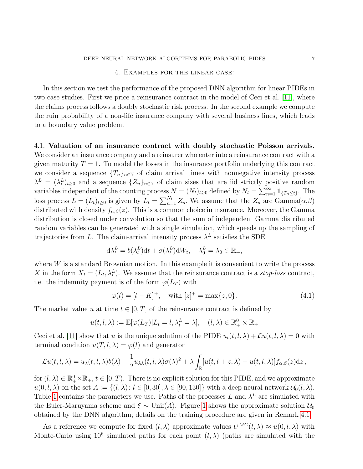### DEEP NEURAL NETWORK ALGORITHMS FOR PARABOLIC PIDES **7**

# 4. Examples for the linear case:

<span id="page-6-0"></span>In this section we test the performance of the proposed DNN algorithm for linear PIDEs in two case studies. First we price a reinsurance contract in the model of Ceci et al. [\[11\]](#page-22-9), where the claims process follows a doubly stochastic risk process. In the second example we compute the ruin probability of a non-life insurance company with several business lines, which leads to a boundary value problem.

4.1. Valuation of an insurance contract with doubly stochastic Poisson arrivals. We consider an insurance company and a reinsurer who enter into a reinsurance contract with a given maturity  $T = 1$ . To model the losses in the insurance portfolio underlying this contract we consider a sequence  $\{T_n\}_{n\in\mathbb{N}}$  of claim arrival times with nonnegative intensity process  $\lambda^L = (\lambda_t^L)_{t \geq 0}$  and a sequence  $\{Z_n\}_{n \in \mathbb{N}}$  of claim sizes that are iid strictly positive random variables independent of the counting process  $N = (N_t)_{t \geq 0}$  defined by  $N_t = \sum_{n=1}^{\infty} \mathbf{1}_{\{T_n \leq t\}}$ . The loss process  $L = (L_t)_{t \geq 0}$  is given by  $L_t = \sum_{n=1}^{N_t} Z_n$ . We assume that the  $Z_n$  are  $\text{Gamma}(\alpha, \beta)$ distributed with density  $f_{\alpha,\beta}(z)$ . This is a common choice in insurance. Moreover, the Gamma distribution is closed under convolution so that the sum of independent Gamma distributed random variables can be generated with a single simulation, which speeds up the sampling of trajectories from L. The claim-arrival intensity process  $\lambda^L$  satisfies the SDE

$$
d\lambda_t^L = b(\lambda_t^L)dt + \sigma(\lambda_t^L)dW_t, \quad \lambda_0^L = \lambda_0 \in \mathbb{R}_+,
$$

where  $W$  is a standard Brownian motion. In this example it is convenient to write the process X in the form  $X_t = (L_t, \lambda_t^L)$ . We assume that the reinsurance contract is a stop-loss contract, i.e. the indemnity payment is of the form  $\varphi(L_T)$  with

<span id="page-6-1"></span>
$$
\varphi(l) = [l - K]^+, \quad \text{with } [z]^+ = \max\{z, 0\}. \tag{4.1}
$$

The market value u at time  $t \in [0, T]$  of the reinsurance contract is defined by

$$
u(t, l, \lambda) := \mathbb{E}[\varphi(L_T)|L_t = l, \lambda_t^L = \lambda], \quad (l, \lambda) \in \mathbb{R}_+^0 \times \mathbb{R}_+
$$

Ceci et al. [\[11\]](#page-22-9) show that u is the unique solution of the PIDE  $u_t(t, l, \lambda) + \mathcal{L}u(t, l, \lambda) = 0$  with terminal condition  $u(T, l, \lambda) = \varphi(l)$  and generator

$$
\mathcal{L}u(t,l,\lambda)=u_{\lambda}(t,l,\lambda)b(\lambda)+\frac{1}{2}u_{\lambda\lambda}(t,l,\lambda)\sigma(\lambda)^{2}+\lambda\int_{\mathbb{R}}[u(t,l+z,\lambda)-u(t,l,\lambda)]f_{\alpha,\beta}(z)\mathrm{d}z,
$$

for  $(l, \lambda) \in \mathbb{R}_+^0 \times \mathbb{R}_+$ ,  $t \in [0, T)$ . There is no explicit solution for this PIDE, and we approximate  $u(0, l, \lambda)$  on the set  $A := \{(l, \lambda): l \in [0, 30], \lambda \in [90, 130]\}$  with a deep neural network  $\mathcal{U}_0(l, \lambda)$ . Table [1](#page-7-0) contains the parameters we use. Paths of the processes L and  $\lambda^L$  are simulated with the Euler-Maruyama scheme and  $\xi \sim \text{Unif}(A)$ . Figure [1](#page-7-1) shows the approximate solution  $\mathcal{U}_0$ obtained by the DNN algorithm; details on the training procedure are given in Remark [4.1.](#page-7-2)

As a reference we compute for fixed  $(l, \lambda)$  approximate values  $U^{MC}(l, \lambda) \approx u(0, l, \lambda)$  with Monte-Carlo using  $10^6$  simulated paths for each point  $(l, \lambda)$  (paths are simulated with the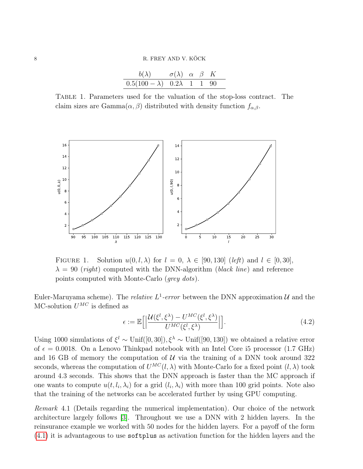<span id="page-7-1"></span>

| $b(\lambda)$ $\sigma(\lambda)$ $\alpha$ $\beta$ K |  |  |  |
|---------------------------------------------------|--|--|--|
| $0.5(100 - \lambda)$ $0.2\lambda$ 1 1 90          |  |  |  |

<span id="page-7-0"></span>Table 1. Parameters used for the valuation of the stop-loss contract. The claim sizes are Gamma $(\alpha, \beta)$  distributed with density function  $f_{\alpha, \beta}$ .



FIGURE 1. Solution  $u(0, l, \lambda)$  for  $l = 0, \lambda \in [90, 130]$  (left) and  $l \in [0, 30]$ ,  $\lambda = 90$  (right) computed with the DNN-algorithm (black line) and reference points computed with Monte-Carlo (grey dots).

Euler-Maruyama scheme). The *relative*  $L^1$ -error between the DNN approximation  $\mathcal{U}$  and the MC-solution  $U^{MC}$  is defined as

<span id="page-7-3"></span>
$$
\epsilon := \mathbb{E}\Big[\Big|\frac{\mathcal{U}(\xi^l, \xi^\lambda) - U^{MC}(\xi^l, \xi^\lambda)}{U^{MC}(\xi^l, \xi^\lambda)}\Big|\Big].\tag{4.2}
$$

Using 1000 simulations of  $\xi^l \sim \text{Unif}([0, 30])$ ,  $\xi^{\lambda} \sim \text{Unif}([90, 130])$  we obtained a relative error of  $\epsilon = 0.0018$ . On a Lenovo Thinkpad notebook with an Intel Core is processor (1.7 GHz) and 16 GB of memory the computation of  $U$  via the training of a DNN took around 322 seconds, whereas the computation of  $U^{MC}(l,\lambda)$  with Monte-Carlo for a fixed point  $(l,\lambda)$  took around 4.3 seconds. This shows that the DNN approach is faster than the MC approach if one wants to compute  $u(t, l_i, \lambda_i)$  for a grid  $(l_i, \lambda_i)$  with more than 100 grid points. Note also that the training of the networks can be accelerated further by using GPU computing.

<span id="page-7-2"></span>Remark 4.1 (Details regarding the numerical implementation). Our choice of the network architecture largely follows [\[3\]](#page-22-6). Throughout we use a DNN with 2 hidden layers. In the reinsurance example we worked with 50 nodes for the hidden layers. For a payoff of the form [\(4.1\)](#page-6-1) it is advantageous to use softplus as activation function for the hidden layers and the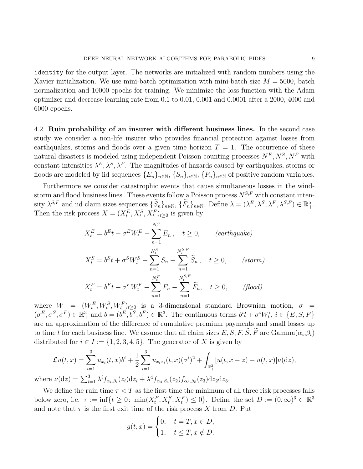identity for the output layer. The networks are initialized with random numbers using the Xavier initialization. We use mini-batch optimization with mini-batch size  $M = 5000$ , batch normalization and 10000 epochs for training. We minimize the loss function with the Adam optimizer and decrease learning rate from 0.1 to 0.01, 0.001 and 0.0001 after a 2000, 4000 and 6000 epochs.

4.2. Ruin probability of an insurer with different business lines. In the second case study we consider a non-life insurer who provides financial protection against losses from earthquakes, storms and floods over a given time horizon  $T = 1$ . The occurrence of these natural disasters is modeled using independent Poisson counting processes  $N^E, N^S, N^F$  with constant intensities  $\lambda^E, \lambda^S, \lambda^F$ . The magnitudes of hazards caused by earthquakes, storms or floods are modeled by iid sequences  $\{E_n\}_{n\in\mathbb{N}}, \{S_n\}_{n\in\mathbb{N}}, \{F_n\}_{n\in\mathbb{N}}$  of positive random variables.

Furthermore we consider catastrophic events that cause simultaneous losses in the windstorm and flood business lines. These events follow a Poisson process  $N^{S,F}$  with constant intensity  $\lambda^{S,F}$  and iid claim sizes sequences  $\{\widetilde{S}_n\}_{n\in\mathbb{N}}$ ,  $\{\widetilde{F}_n\}_{n\in\mathbb{N}}$ . Define  $\lambda = (\lambda^E, \lambda^S, \lambda^F, \lambda^{S,F}) \in \mathbb{R}^5_+$ . Then the risk process  $X = (X_t^E, X_t^S, X_t^F)_{t \geq 0}$  is given by

$$
X_t^E = b^E t + \sigma^E W_t^E - \sum_{n=1}^{N_t^E} E_n, \quad t \ge 0, \qquad (earthquake)
$$
  

$$
X_t^S = b^S t + \sigma^S W_t^S - \sum_{n=1}^{N_t^S} S_n - \sum_{n=1}^{N_t^{S,F}} \widetilde{S}_n, \quad t \ge 0, \qquad (storm)
$$
  

$$
X_t^F = b^F t + \sigma^F W_t^F - \sum_{n=1}^{N_t^F} F_n - \sum_{n=1}^{N_t^{S,F}} \widetilde{F}_n, \quad t \ge 0, \qquad (float)
$$

where  $W = (W_t^E, W_t^S, W_t^F)_{t \geq 0}$  is a 3-dimensional standard Brownian motion,  $\sigma =$  $(\sigma^E, \sigma^S, \sigma^F) \in \mathbb{R}^3_+$  and  $b = (b^E, b^S, b^F) \in \mathbb{R}^3$ . The continuous terms  $b^i t + \sigma^i W^i_t$ ,  $i \in \{E, S, F\}$ are an approximation of the difference of cumulative premium payments and small losses up to time t for each business line. We assume that all claim sizes  $E$ , S, F, S, F are  $\text{Gamma}(\alpha_i, \beta_i)$ distributed for  $i \in I := \{1, 2, 3, 4, 5\}$ . The generator of X is given by

$$
\mathcal{L}u(t,x) = \sum_{i=1}^{3} u_{x_i}(t,x)b^i + \frac{1}{2} \sum_{i=1}^{3} u_{x_ix_i}(t,x)(\sigma^i)^2 + \int_{\mathbb{R}^3_+} [u(t,x-z) - u(t,x)]\nu(\mathrm{d}z),
$$
  
\n
$$
\nu(\mathrm{d}z) = \sum_{i=1}^{3} \lambda^i f_{\alpha_i,\beta_i}(z_i)\mathrm{d}z_i + \lambda^4 f_{\alpha_4,\beta_4}(z_2)f_{\alpha_5,\beta_5}(z_3)\mathrm{d}z_2\mathrm{d}z_3.
$$

 $where$ We define the ruin time  $\tau < T$  as the first time the minimum of all three risk processes falls

below zero, i.e.  $\tau := \inf\{t \geq 0: \min(X_t^E, X_t^S, X_t^F) \leq 0\}$ . Define the set  $D := (0, \infty)^3 \subset \mathbb{R}^3$ and note that  $\tau$  is the first exit time of the risk process X from D. Put

$$
g(t,x) = \begin{cases} 0, & t = T, x \in D, \\ 1, & t \le T, x \notin D. \end{cases}
$$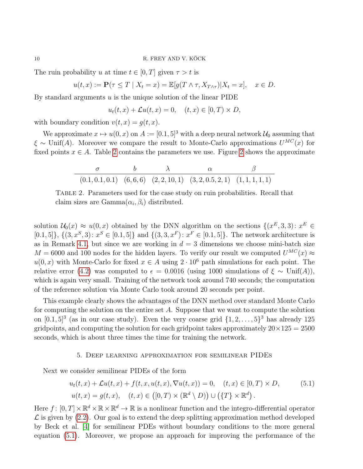The ruin probability u at time  $t \in [0, T]$  given  $\tau > t$  is

$$
u(t,x) := \mathbf{P}(\tau \le T \mid X_t = x) = \mathbb{E}[g(T \wedge \tau, X_{T \wedge \tau}) | X_t = x], \quad x \in D.
$$

By standard arguments  $u$  is the unique solution of the linear PIDE

$$
u_t(t,x) + \mathcal{L}u(t,x) = 0, \quad (t,x) \in [0,T) \times D,
$$

with boundary condition  $v(t, x) = g(t, x)$ .

We approximate  $x \mapsto u(0, x)$  on  $A := [0.1, 5]^3$  with a deep neural network  $\mathcal{U}_0$  assuming that  $\xi \sim \text{Unif}(A)$ . Moreover we compare the result to Monte-Carlo approximations  $U^{MC}(x)$  for fixed points  $x \in A$ . Table [2](#page-10-0) contains the parameters we use. Figure 2 shows the approximate

|  | $(0.1, 0.1, 0.1)$ $(6, 6, 6)$ $(2, 2, 10, 1)$ $(3, 2, 0.5, 2, 1)$ $(1, 1, 1, 1, 1)$ |  |
|--|-------------------------------------------------------------------------------------|--|

<span id="page-9-1"></span>Table 2. Parameters used for the case study on ruin probabilities. Recall that claim sizes are  $Gamma(\alpha_i, \beta_i)$  distributed.

solution  $\mathcal{U}_0(x) \approx u(0, x)$  obtained by the DNN algorithm on the sections  $\{(x^E, 3, 3): x^E \in$  $[0.1, 5]$ ,  $\{(3, x^S, 3) : x^S \in [0.1, 5]\}$  and  $\{(3, 3, x^F) : x^F \in [0.1, 5]\}$ . The network architecture is as in Remark [4.1,](#page-7-2) but since we are working in  $d = 3$  dimensions we choose mini-batch size  $M = 6000$  and 100 nodes for the hidden layers. To verify our result we computed  $U^{MC}(x) \approx$  $u(0, x)$  with Monte-Carlo for fixed  $x \in A$  using  $2 \cdot 10^6$  path simulations for each point. The relative error [\(4.2\)](#page-7-3) was computed to  $\epsilon = 0.0016$  (using 1000 simulations of  $\xi \sim \text{Unif}(A)$ ), which is again very small. Training of the network took around 740 seconds; the computation of the reference solution via Monte Carlo took around 20 seconds per point.

This example clearly shows the advantages of the DNN method over standard Monte Carlo for computing the solution on the entire set A. Suppose that we want to compute the solution on  $[0.1, 5]^3$  (as in our case study). Even the very coarse grid  $\{1, 2, \ldots, 5\}^3$  has already 125 gridpoints, and computing the solution for each gridpoint takes approximately  $20 \times 125 = 2500$ seconds, which is about three times the time for training the network.

# <span id="page-9-2"></span>5. Deep learning approximation for semilinear PIDEs

<span id="page-9-0"></span>Next we consider semilinear PIDEs of the form

$$
u_t(t,x) + \mathcal{L}u(t,x) + f(t,x,u(t,x),\nabla u(t,x)) = 0, \quad (t,x) \in [0,T) \times D,
$$
  
\n
$$
u(t,x) = g(t,x), \quad (t,x) \in ([0,T) \times (\mathbb{R}^d \setminus D)) \cup (\{T\} \times \mathbb{R}^d).
$$
\n(5.1)

Here  $f: [0, T] \times \mathbb{R}^d \times \mathbb{R} \times \mathbb{R}^d \to \mathbb{R}$  is a nonlinear function and the integro-differential operator  $\mathcal L$  is given by [\(2.2\)](#page-3-2). Our goal is to extend the deep splitting approximation method developed by Beck et al. [\[4\]](#page-22-5) for semilinear PDEs without boundary conditions to the more general equation [\(5.1\)](#page-9-2). Moreover, we propose an approach for improving the performance of the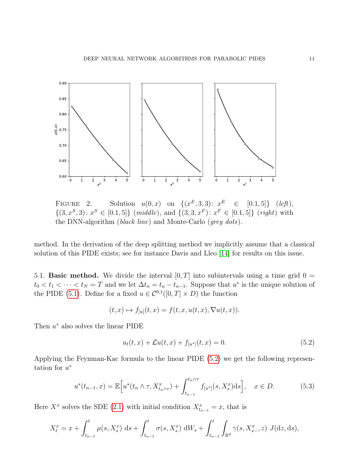

<span id="page-10-0"></span>FIGURE 2. Solution  $u(0, x)$  on  $\{(x^E, 3, 3): x$  $\in$  [0.1, 5]} (*left*),  $\{(3, x^S, 3): x^S \in [0.1, 5]\}$  (middle), and  $\{(3, 3, x^F): x^F \in [0.1, 5]\}$  (right) with the DNN-algorithm (black line) and Monte-Carlo (grey dots).

method. In the derivation of the deep splitting method we implicitly assume that a classical solution of this PIDE exists; see for instance Davis and Lleo [\[14\]](#page-22-14) for results on this issue.

5.1. **Basic method.** We divide the interval  $[0, T]$  into subintervals using a time grid  $0 =$  $t_0 < t_1 < \cdots < t_N = T$  and we let  $\Delta t_n = t_n - t_{n-1}$ . Suppose that  $u^*$  is the unique solution of the PIDE [\(5.1\)](#page-9-2). Define for a fixed  $u \in C^{0,1}([0,T] \times D)$  the function

$$
(t, x) \mapsto f_{[u]}(t, x) = f(t, x, u(t, x), \nabla u(t, x)).
$$

Then  $u^*$  also solves the linear PIDE

<span id="page-10-2"></span><span id="page-10-1"></span>
$$
u_t(t, x) + \mathcal{L}u(t, x) + f_{[u^*]}(t, x) = 0.
$$
\n(5.2)

Applying the Feynman-Kac formula to the linear PIDE [\(5.2\)](#page-10-1) we get the following representation for  $u^*$ 

$$
u^*(t_{n-1},x) = \mathbb{E}\Big[u^*(t_n \wedge \tau, X_{t_n \wedge \tau}^x) + \int_{t_{n-1}}^{t_n \wedge \tau} f_{[u^*]}(s, X_s^x) \, ds\Big], \quad x \in D. \tag{5.3}
$$

Here  $X^x$  solves the SDE [\(2.1\)](#page-3-0) with initial condition  $X^x_{t_{n-1}} = x$ , that is

$$
X_t^x = x + \int_{t_{n-1}}^t \mu(s, X_s^x) \, ds + \int_{t_{n-1}}^t \sigma(s, X_s^x) \, dW_s + \int_{t_{n-1}}^t \int_{\mathbb{R}^d} \gamma(s, X_{s-}^x, z) \, J(dz, ds),
$$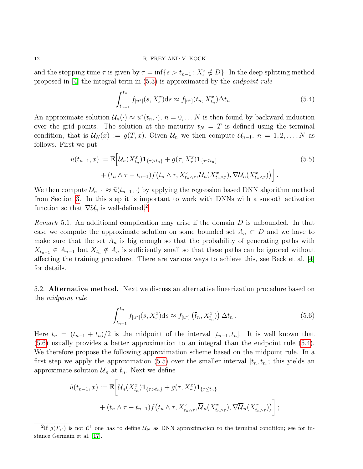and the stopping time  $\tau$  is given by  $\tau = \inf\{s > t_{n-1} : X_s^x \notin D\}$ . In the deep splitting method proposed in [\[4\]](#page-22-5) the integral term in [\(5.3\)](#page-10-2) is approximated by the endpoint rule

<span id="page-11-3"></span><span id="page-11-2"></span>
$$
\int_{t_{n-1}}^{t_n} f_{[u^*]}(s, X_s^x) ds \approx f_{[u^*]}(t_n, X_{t_n}^x) \Delta t_n.
$$
 (5.4)

An approximate solution  $\mathcal{U}_n(\cdot) \approx u^*(t_n, \cdot)$ ,  $n = 0, \ldots N$  is then found by backward induction over the grid points. The solution at the maturity  $t_N = T$  is defined using the terminal condition, that is  $\mathcal{U}_N(x) := g(T, x)$ . Given  $\mathcal{U}_n$  we then compute  $\mathcal{U}_{n-1}, n = 1, 2, \ldots, N$  as follows. First we put

$$
\tilde{u}(t_{n-1},x) := \mathbb{E}\Big[\mathcal{U}_n(X_{t_n}^x)\mathbf{1}_{\{\tau>t_n\}} + g(\tau,X_\tau^x)\mathbf{1}_{\{\tau\leq t_n\}} + (t_n \wedge \tau - t_{n-1})f(t_n \wedge \tau,X_{t_n \wedge \tau}^x)\mathcal{U}_n(X_{t_n \wedge \tau}^x), \nabla \mathcal{U}_n(X_{t_n \wedge \tau}^x)\Big)\Big].
$$
\n(5.5)

We then compute  $\mathcal{U}_{n-1} \approx \tilde{u}(t_{n-1}, \cdot)$  by applying the regression based DNN algorithm method from Section [3.](#page-4-0) In this step it is important to work with DNNs with a smooth activation function so that  $\nabla \mathcal{U}_n$  is well-defined.<sup>[2](#page-11-0)</sup>

*Remark* 5.1. An additional complication may arise if the domain  $D$  is unbounded. In that case we compute the approximate solution on some bounded set  $A_n \subset D$  and we have to make sure that the set  $A_n$  is big enough so that the probability of generating paths with  $X_{t_{n-1}} \in A_{n-1}$  but  $X_{t_n} \notin A_n$  is sufficiently small so that these paths can be ignored without affecting the training procedure. There are various ways to achieve this, see Beck et al. [\[4\]](#page-22-5) for details.

5.2. Alternative method. Next we discuss an alternative linearization procedure based on the midpoint rule

<span id="page-11-1"></span>
$$
\int_{t_{n-1}}^{t_n} f_{[u^*]}(s, X_s^x) ds \approx f_{[u^*]}(\bar{t}_n, X_{\bar{t}_n}^x) \Delta t_n.
$$
 (5.6)

Here  $\bar{t}_n = (t_{n-1} + t_n)/2$  is the midpoint of the interval  $[t_{n-1}, t_n]$ . It is well known that [\(5.6\)](#page-11-1) usually provides a better approximation to an integral than the endpoint rule [\(5.4\)](#page-11-2). We therefore propose the following approximation scheme based on the midpoint rule. In a first step we apply the approximation [\(5.5\)](#page-11-3) over the smaller interval  $[\bar{t}_n, t_n]$ ; this yields an approximate solution  $\overline{\mathcal{U}}_n$  at  $\overline{t}_n$ . Next we define

$$
\tilde{u}(t_{n-1},x) := \mathbb{E}\bigg[\mathcal{U}_n(X_{t_n}^x)\mathbf{1}_{\{\tau > t_n\}} + g(\tau, X_\tau^x)\mathbf{1}_{\{\tau \le t_n\}} + (t_n \wedge \tau - t_{n-1})f(\bar{t}_n \wedge \tau, X_{\bar{t}_n \wedge \tau}^x, \overline{\mathcal{U}}_n(X_{\bar{t}_n \wedge \tau}^x), \nabla \overline{\mathcal{U}}_n(X_{\bar{t}_n \wedge \tau}^x))\bigg];
$$

<span id="page-11-0"></span><sup>2</sup>If  $g(T, \cdot)$  is not  $\mathcal{C}^1$  one has to define  $\mathcal{U}_N$  as DNN approximation to the terminal condition; see for instance Germain et al. [\[17\]](#page-22-7).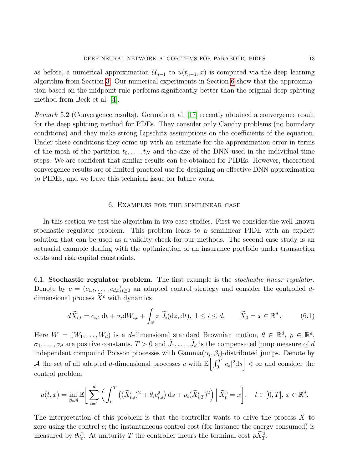as before, a numerical approximation  $\mathcal{U}_{n-1}$  to  $\tilde{u}(t_{n-1},x)$  is computed via the deep learning algorithm from Section [3.](#page-4-0) Our numerical experiments in Section [6](#page-12-0) show that the approximation based on the midpoint rule performs significantly better than the original deep splitting method from Beck et al. [\[4\]](#page-22-5).

Remark 5.2 (Convergence results). Germain et al. [\[17\]](#page-22-7) recently obtained a convergence result for the deep splitting method for PDEs. They consider only Cauchy problems (no boundary conditions) and they make strong Lipschitz assumptions on the coefficients of the equation. Under these conditions they come up with an estimate for the approximation error in terms of the mesh of the partition  $t_0, \ldots, t_N$  and the size of the DNN used in the individual time steps. We are confident that similar results can be obtained for PIDEs. However, theoretical convergence results are of limited practical use for designing an effective DNN approximation to PIDEs, and we leave this technical issue for future work.

## <span id="page-12-1"></span>6. Examples for the semilinear case

<span id="page-12-0"></span>In this section we test the algorithm in two case studies. First we consider the well-known stochastic regulator problem. This problem leads to a semilinear PIDE with an explicit solution that can be used as a validity check for our methods. The second case study is an actuarial example dealing with the optimization of an insurance portfolio under transaction costs and risk capital constraints.

6.1. Stochastic regulator problem. The first example is the stochastic linear regulator. Denote by  $c = (c_{1,t}, \ldots, c_{d,t})_{t\geq 0}$  an adapted control strategy and consider the controlled ddimensional process  $\widetilde{X}^c$  with dynamics

$$
d\widetilde{X}_{i,t} = c_{i,t} \, dt + \sigma_i dW_{i,t} + \int_{\mathbb{R}} z \, \widetilde{J}_i(dz, dt), \ 1 \le i \le d, \qquad \widetilde{X}_0 = x \in \mathbb{R}^d. \tag{6.1}
$$

Here  $W = (W_1, \ldots, W_d)$  is a d-dimensional standard Brownian motion,  $\theta \in \mathbb{R}^d$ ,  $\rho \in \mathbb{R}^d$ ,  $\sigma_1, \ldots, \sigma_d$  are positive constants,  $T > 0$  and  $\widetilde{J}_1, \ldots, \widetilde{J}_d$  is the compensated jump measure of d independent compound Poisson processes with  $Gamma(\alpha_i, \beta_i)$ -distributed jumps. Denote by A the set of all adapted d-dimensional processes c with  $\mathbb{E}\left[\int_0^T |c_s|^2 ds\right] < \infty$  and consider the control problem

$$
u(t,x) = \inf_{c \in \mathcal{A}} \mathbb{E} \bigg[ \sum_{i=1}^d \left( \int_t^T \left( (\widetilde{X}_{i,s}^c)^2 + \theta_i c_{i,s}^2 \right) ds + \rho_i (\widetilde{X}_{i,T}^c)^2 \right) \Big| \widetilde{X}_t^c = x \bigg], \quad t \in [0,T], \ x \in \mathbb{R}^d.
$$

The interpretation of this problem is that the controller wants to drive the process  $\widetilde{X}$  to zero using the control c; the instantaneous control cost (for instance the energy consumed) is measured by  $\theta c_t^2$ . At maturity T the controller incurs the terminal cost  $\rho \tilde{X}_T^2$ .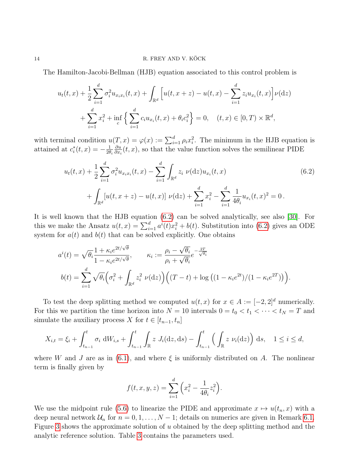The Hamilton-Jacobi-Bellman (HJB) equation associated to this control problem is

$$
u_t(t,x) + \frac{1}{2} \sum_{i=1}^d \sigma_i^2 u_{x_i x_i}(t,x) + \int_{\mathbb{R}^d} \left[ u(t,x+z) - u(t,x) - \sum_{i=1}^d z_i u_{x_i}(t,x) \right] \nu(\mathrm{d}z) + \sum_{i=1}^d x_i^2 + \inf_c \left\{ \sum_{i=1}^d c_i u_{x_i}(t,x) + \theta_i c_i^2 \right\} = 0, \quad (t,x) \in [0,T) \times \mathbb{R}^d,
$$

with terminal condition  $u(T, x) = \varphi(x) := \sum_{i=1}^d \rho_i x_i^2$ . The minimum in the HJB equation is attained at  $c_i^*(t, x) = -\frac{1}{2\theta}$  $2\theta_i$ ∂u  $\frac{\partial u}{\partial x_i}(t, x)$ , so that the value function solves the semilinear PIDE

<span id="page-13-0"></span>
$$
u_t(t,x) + \frac{1}{2} \sum_{i=1}^d \sigma_i^2 u_{x_i x_i}(t,x) - \sum_{i=1}^d \int_{\mathbb{R}^d} z_i \ \nu(\mathrm{d}z) u_{x_i}(t,x) + \int_{\mathbb{R}^d} [u(t,x+z) - u(t,x)] \ \nu(\mathrm{d}z) + \sum_{i=1}^d x_i^2 - \sum_{i=1}^d \frac{1}{4\theta_i} u_{x_i}(t,x)^2 = 0.
$$
 (6.2)

It is well known that the HJB equation [\(6.2\)](#page-13-0) can be solved analytically, see also [\[30\]](#page-23-11). For this we make the Ansatz  $u(t,x) = \sum_{i=1}^{d} a^{i}(t)x_i^2 + b(t)$ . Substitution into [\(6.2\)](#page-13-0) gives an ODE system for  $a(t)$  and  $b(t)$  that can be solved explicitly. One obtains

$$
a^{i}(t) = \sqrt{\theta_{i}} \frac{1 + \kappa_{i} e^{2t/\sqrt{\theta}}}{1 - \kappa_{i} e^{2t/\sqrt{\theta}}}, \qquad \kappa_{i} := \frac{\rho_{i} - \sqrt{\theta_{i}}}{\rho_{i} + \sqrt{\theta_{i}}} e^{-\frac{2T}{\sqrt{\theta_{i}}}}
$$

$$
b(t) = \sum_{i=1}^{d} \sqrt{\theta_{i}} \left(\sigma_{i}^{2} + \int_{\mathbb{R}^{d}} z_{i}^{2} \nu(\mathrm{d}z)\right) \left((T - t) + \log\left((1 - \kappa_{i} e^{2t})/(1 - \kappa_{i} e^{2T})\right)\right).
$$

To test the deep splitting method we computed  $u(t, x)$  for  $x \in A := [-2, 2]^d$  numerically. For this we partition the time horizon into  $N = 10$  intervals  $0 = t_0 < t_1 < \cdots < t_N = T$  and simulate the auxiliary process X for  $t \in [t_{n-1}, t_n]$ 

$$
X_{i,t} = \xi_i + \int_{t_{n-1}}^t \sigma_i \, dW_{i,s} + \int_{t_{n-1}}^t \int_{\mathbb{R}} z \, J_i(\mathrm{d}z, \mathrm{d}s) - \int_{t_{n-1}}^t \left( \int_{\mathbb{R}} z \, \nu_i(\mathrm{d}z) \right) \, \mathrm{d}s, \quad 1 \le i \le d,
$$

where W and J are as in [\(6.1\)](#page-12-1), and where  $\xi$  is uniformly distributed on A. The nonlinear term is finally given by

$$
f(t, x, y, z) = \sum_{i=1}^{d} \left( x_i^2 - \frac{1}{4\theta_i} z_i^2 \right).
$$

We use the midpoint rule [\(5.6\)](#page-11-1) to linearize the PIDE and approximate  $x \mapsto u(t_n, x)$  with a deep neural network  $\mathcal{U}_n$  for  $n = 0, 1, \ldots, N - 1$ ; details on numerics are given in Remark [6.1.](#page-14-0) Figure [3](#page-14-1) shows the approximate solution of u obtained by the deep splitting method and the analytic reference solution. Table [3](#page-14-2) contains the parameters used.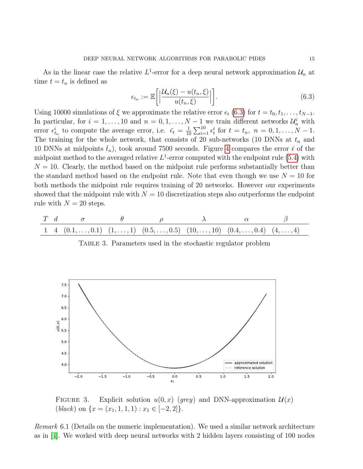As in the linear case the relative  $L^1$ -error for a deep neural network approximation  $\mathcal{U}_n$  at time  $t = t_n$  is defined as

<span id="page-14-3"></span>
$$
\epsilon_{t_n} := \mathbb{E}\bigg[\bigg|\frac{\mathcal{U}_n(\xi) - u(t_n, \xi)}{u(t_n, \xi)}\bigg|\bigg].\tag{6.3}
$$

Using 10000 simulations of  $\xi$  we approximate the relative error  $\epsilon_t$  [\(6.3\)](#page-14-3) for  $t = t_0, t_1, \ldots, t_{N-1}$ . In particular, for  $i = 1, ..., 10$  and  $n = 0, 1, ..., N - 1$  we train different networks  $\mathcal{U}_n^i$  with error  $\epsilon_{t_n}^i$  to compute the average error, i.e.  $\bar{\epsilon}_t = \frac{1}{10}$  $\frac{1}{10}\sum_{i=1}^{10} \epsilon_t^i$  for  $t = t_n$ ,  $n = 0, 1, \ldots, N - 1$ . The training for the whole network, that consists of 20 sub-networks (10 DNNs at  $t_n$  and 10 DNNs at midpoints  $\bar{t}_n$ ), took around 7500 seconds. Figure [4](#page-15-0) compares the error  $\bar{\epsilon}$  of the midpoint method to the averaged relative  $L^1$ -error computed with the endpoint rule [\(5.4\)](#page-11-2) with  $N = 10$ . Clearly, the method based on the midpoint rule performs substantially better than the standard method based on the endpoint rule. Note that even though we use  $N = 10$  for both methods the midpoint rule requires training of 20 networks. However our experiments showed that the midpoint rule with  $N = 10$  discretization steps also outperforms the endpoint rule with  $N = 20$  steps.

<span id="page-14-2"></span>
$$
\begin{array}{ccccccccc}\nT & d & \sigma & \theta & \rho & \lambda & \alpha & \beta \\
1 & 4 & (0.1, \ldots, 0.1) & (1, \ldots, 1) & (0.5, \ldots, 0.5) & (10, \ldots, 10) & (0.4, \ldots, 0.4) & (4, \ldots, 4)\n\end{array}
$$

<span id="page-14-1"></span>TABLE 3. Parameters used in the stochastic regulator problem



FIGURE 3. Explicit solution  $u(0, x)$  (grey) and DNN-approximation  $\mathcal{U}(x)$  $(black)$  on  $\{x = (x_1, 1, 1, 1) : x_1 \in [-2, 2]\}.$ 

<span id="page-14-0"></span>Remark 6.1 (Details on the numeric implementation). We used a similar network architecture as in [\[4\]](#page-22-5). We worked with deep neural networks with 2 hidden layers consisting of 100 nodes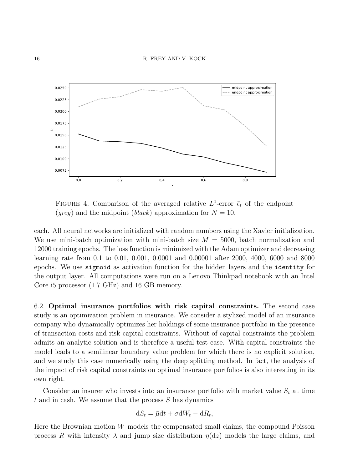

<span id="page-15-0"></span>FIGURE 4. Comparison of the averaged relative  $L^1$ -error  $\bar{\epsilon}_t$  of the endpoint (grey) and the midpoint (black) approximation for  $N = 10$ .

each. All neural networks are initialized with random numbers using the Xavier initialization. We use mini-batch optimization with mini-batch size  $M = 5000$ , batch normalization and 12000 training epochs. The loss function is minimized with the Adam optimizer and decreasing learning rate from 0.1 to 0.01, 0.001, 0.0001 and 0.00001 after 2000, 4000, 6000 and 8000 epochs. We use sigmoid as activation function for the hidden layers and the identity for the output layer. All computations were run on a Lenovo Thinkpad notebook with an Intel Core i5 processor (1.7 GHz) and 16 GB memory.

6.2. Optimal insurance portfolios with risk capital constraints. The second case study is an optimization problem in insurance. We consider a stylized model of an insurance company who dynamically optimizes her holdings of some insurance portfolio in the presence of transaction costs and risk capital constraints. Without of capital constraints the problem admits an analytic solution and is therefore a useful test case. With capital constraints the model leads to a semilinear boundary value problem for which there is no explicit solution, and we study this case numerically using the deep splitting method. In fact, the analysis of the impact of risk capital constraints on optimal insurance portfolios is also interesting in its own right.

Consider an insurer who invests into an insurance portfolio with market value  $S_t$  at time  $t$  and in cash. We assume that the process  $S$  has dynamics

$$
dS_t = \bar{\mu}dt + \sigma dW_t - dR_t,
$$

Here the Brownian motion  $W$  models the compensated small claims, the compound Poisson process R with intensity  $\lambda$  and jump size distribution  $\eta(\mathrm{d}z)$  models the large claims, and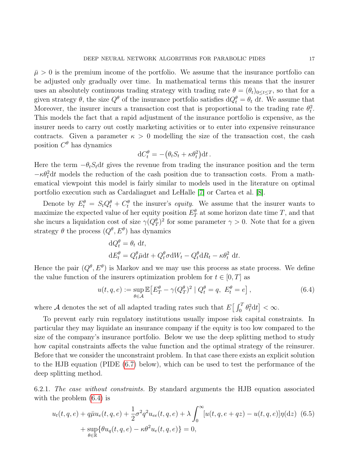$\bar{\mu} > 0$  is the premium income of the portfolio. We assume that the insurance portfolio can be adjusted only gradually over time. In mathematical terms this means that the insurer uses an absolutely continuous trading strategy with trading rate  $\theta = (\theta_t)_{0 \leq t \leq T}$ , so that for a given strategy  $\theta$ , the size  $Q^{\theta}$  of the insurance portfolio satisfies  $dQ_t^{\theta} = \theta_t dt$ . We assume that Moreover, the insurer incurs a transaction cost that is proportional to the trading rate  $\theta_t^2$ . This models the fact that a rapid adjustment of the insurance portfolio is expensive, as the insurer needs to carry out costly marketing activities or to enter into expensive reinsurance contracts. Given a parameter  $\kappa > 0$  modelling the size of the transaction cost, the cash position  $C^{\theta}$  has dynamics

$$
\mathrm{d}C_t^{\theta} = -(\theta_t S_t + \kappa \theta_t^2) \mathrm{d}t.
$$

Here the term  $-\theta_t S_t dt$  gives the revenue from trading the insurance position and the term  $-\kappa\theta_t^2 dt$  models the reduction of the cash position due to transaction costs. From a mathematical viewpoint this model is fairly similar to models used in the literature on optimal portfolio execution such as Cardaliaguet and LeHalle [\[7\]](#page-22-15) or Cartea et al. [\[8\]](#page-22-16).

Denote by  $E_t^{\theta} = S_t Q_t^{\theta} + C_t^{\theta}$  the insurer's *equity*. We assume that the insurer wants to maximize the expected value of her equity position  $E_T^{\theta}$  at some horizon date time T, and that she incurs a liquidation cost of size  $\gamma(Q_T^{\theta})^2$  for some parameter  $\gamma > 0$ . Note that for a given strategy  $\theta$  the process  $(Q^{\theta}, E^{\theta})$  has dynamics

<span id="page-16-0"></span>
$$
dQ_t^{\theta} = \theta_t dt,
$$
  
\n
$$
dE_t^{\theta} = Q_t^{\theta} \bar{\mu} dt + Q_t^{\theta} \sigma dW_t - Q_t^{\theta} dR_t - \kappa \theta_t^2 dt.
$$

Hence the pair  $(Q^{\theta}, E^{\theta})$  is Markov and we may use this process as state process. We define the value function of the insurers optimization problem for  $t \in [0, T]$  as

<span id="page-16-1"></span>
$$
u(t,q,e) := \sup_{\theta \in \mathcal{A}} \mathbb{E} \left[ E_T^{\theta} - \gamma (Q_T^{\theta})^2 \mid Q_t^{\theta} = q, \ E_t^{\theta} = e \right],\tag{6.4}
$$

where A denotes the set of all adapted trading rates such that  $E\left[\int_0^T \theta_t^2 dt\right] < \infty$ .

To prevent early ruin regulatory institutions usually impose risk capital constraints. In particular they may liquidate an insurance company if the equity is too low compared to the size of the company's insurance portfolio. Below we use the deep splitting method to study how capital constraints affects the value function and the optimal strategy of the reinsurer. Before that we consider the unconstraint problem. In that case there exists an explicit solution to the HJB equation (PIDE [\(6.7\)](#page-17-0) below), which can be used to test the performance of the deep splitting method.

6.2.1. The case without constraints. By standard arguments the HJB equation associated with the problem  $(6.4)$  is

$$
u_t(t, q, e) + q\bar{\mu}u_e(t, q, e) + \frac{1}{2}\sigma^2 q^2 u_{ee}(t, q, e) + \lambda \int_0^\infty [u(t, q, e + qz) - u(t, q, e)]\eta(\mathrm{d}z) \tag{6.5}
$$
  
+ 
$$
\sup_{\theta \in \mathbb{R}} \{ \theta u_q(t, q, e) - \kappa \theta^2 u_e(t, q, e) \} = 0,
$$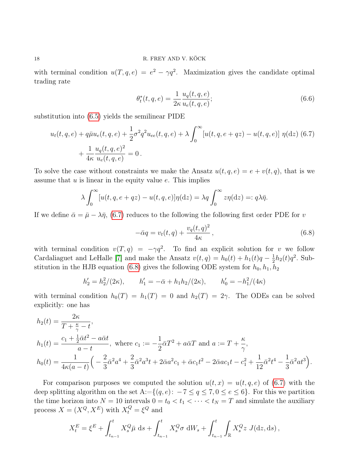with terminal condition  $u(T, q, e) = e^2 - \gamma q^2$ . Maximization gives the candidate optimal trading rate

<span id="page-17-2"></span><span id="page-17-0"></span>
$$
\theta_t^*(t, q, e) = \frac{1}{2\kappa} \frac{u_q(t, q, e)}{u_e(t, q, e)};
$$
\n(6.6)

substitution into [\(6.5\)](#page-16-1) yields the semilinear PIDE

$$
u_t(t, q, e) + q\bar{\mu}u_e(t, q, e) + \frac{1}{2}\sigma^2 q^2 u_{ee}(t, q, e) + \lambda \int_0^\infty [u(t, q, e + qz) - u(t, q, e)] \eta(\mathrm{d}z) (6.7) + \frac{1}{4\kappa} \frac{u_q(t, q, e)^2}{u_e(t, q, e)} = 0.
$$

To solve the case without constraints we make the Ansatz  $u(t, q, e) = e + v(t, q)$ , that is we assume that  $u$  is linear in the equity value  $e$ . This implies

$$
\lambda \int_0^\infty [u(t, q, e + qz) - u(t, q, e)] \eta(\mathrm{d}z) = \lambda q \int_0^\infty z \eta(\mathrm{d}z) =: q\lambda \bar{\eta}.
$$

If we define  $\bar{\alpha} = \bar{\mu} - \lambda \bar{\eta}$ , [\(6.7\)](#page-17-0) reduces to the following the following first order PDE for v

<span id="page-17-1"></span>
$$
-\bar{\alpha}q = v_t(t,q) + \frac{v_q(t,q)^2}{4\kappa},\qquad(6.8)
$$

with terminal condition  $v(T, q) = -\gamma q^2$ . To find an explicit solution for v we follow Cardaliaguet and LeHalle [\[7\]](#page-22-15) and make the Ansatz  $v(t,q) = h_0(t) + h_1(t)q - \frac{1}{2}$  $\frac{1}{2}h_2(t)q^2$ . Sub-stitution in the HJB equation [\(6.8\)](#page-17-1) gives the following ODE system for  $h_0, h_1, h_2$ 

$$
h'_2 = h_2^2/(2\kappa),
$$
  $h'_1 = -\bar{\alpha} + h_1 h_2/(2\kappa),$   $h'_0 = -h_1^2/(4\kappa)$ 

with terminal condition  $h_0(T) = h_1(T) = 0$  and  $h_2(T) = 2\gamma$ . The ODEs can be solved explicitly: one has

$$
h_2(t) = \frac{2\kappa}{T + \frac{\kappa}{\gamma} - t},
$$
  
\n
$$
h_1(t) = \frac{c_1 + \frac{1}{2}\bar{\alpha}t^2 - a\bar{\alpha}t}{a - t},
$$
 where  $c_1 := -\frac{1}{2}\bar{\alpha}T^2 + a\bar{\alpha}T$  and  $a := T + \frac{\kappa}{\gamma}$ ,  
\n
$$
h_0(t) = \frac{1}{4\kappa(a - t)} \left( -\frac{2}{3}\bar{\alpha}^2 a^4 + \frac{2}{3}\bar{\alpha}^2 a^3 t + 2\bar{\alpha} a^2 c_1 + \bar{\alpha} c_1 t^2 - 2\bar{\alpha} a c_1 t - c_1^2 + \frac{1}{12}\bar{\alpha}^2 t^4 - \frac{1}{3}\bar{\alpha}^2 a t^3 \right).
$$

For comparison purposes we computed the solution  $u(t, x) = u(t, q, e)$  of [\(6.7\)](#page-17-0) with the deep splitting algorithm on the set A:={ $(q, e): -7 \le q \le 7, 0 \le e \le 6$ }. For this we partition the time horizon into  $N = 10$  intervals  $0 = t_0 < t_1 < \cdots < t_N = T$  and simulate the auxiliary process  $X = (X^Q, X^E)$  with  $X_t^Q = \xi^Q$  and

$$
X_t^E = \xi^E + \int_{t_{n-1}}^t X_s^Q \bar{\mu} \, ds + \int_{t_{n-1}}^t X_s^Q \sigma \, dW_s + \int_{t_{n-1}}^t \int_{\mathbb{R}} X_s^Q z \, J(dz, ds),
$$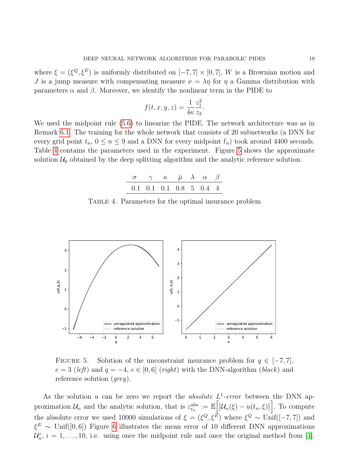where  $\xi = (\xi^Q, \xi^E)$  is uniformly distributed on  $[-7, 7] \times [0, 7]$ , W is a Brownian motion and J is a jump measure with compensating measure  $\nu = \lambda \eta$  for  $\eta$  a Gamma distribution with parameters  $\alpha$  and  $\beta$ . Moreover, we identify the nonlinear term in the PIDE to

$$
f(t, x, y, z) = \frac{1}{4\kappa} \frac{z_1^2}{z_2}.
$$

We used the midpoint rule [\(5.6\)](#page-11-1) to linearize the PIDE. The network architecture was as in Remark [6.1.](#page-14-0) The training for the whole network that consists of 20 subnetworks (a DNN for every grid point  $t_n$ ,  $0 \le n \le 9$  and a DNN for every midpoint  $\bar{t}_n$ ) took around 4400 seconds. Table [4](#page-18-0) contains the parameters used in the experiment. Figure [5](#page-18-1) shows the approximate solution  $\mathcal{U}_0$  obtained by the deep splitting algorithm and the analytic reference solution.

<span id="page-18-1"></span>
$$
\begin{array}{ccccc}\n\sigma & \gamma & \kappa & \bar{\mu} & \lambda & \alpha & \beta \\
\hline\n0.1 & 0.1 & 0.1 & 0.8 & 5 & 0.4 & 4\n\end{array}
$$

Table 4. Parameters for the optimal insurance problem

<span id="page-18-0"></span>

FIGURE 5. Solution of the unconstraint insurance problem for  $q \in [-7, 7]$ ,  $e = 3$  (left) and  $q = -4$ ,  $e \in [0, 6]$  (right) with the DNN-algorithm (black) and reference solution (*grey*).

As the solution u can be zero we report the absolute  $L^1$ -error between the DNN approximation  $\mathcal{U}_n$  and the analytic solution, that is  $\varepsilon_{t_n}^{\text{abs}} := \mathbb{E}\Big[|\mathcal{U}_n(\xi) - u(t_n, \xi)|\Big]$ i . To compute the absolute error we used 10000 simulations of  $\xi = (\xi^Q, \xi^E)$  where  $\xi^Q \sim \text{Unif}([-7, 7])$  and  $\xi^E \sim$  Unif([0,6]) Figure [6](#page-19-0) illustrates the mean error of 10 different DNN approximations  $\mathcal{U}_n^i$ ,  $i = 1, \ldots, 10$ , i.e. using once the midpoint rule and once the original method from [\[4\]](#page-22-5).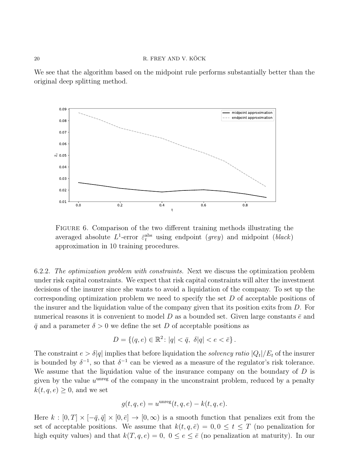We see that the algorithm based on the midpoint rule performs substantially better than the original deep splitting method.



<span id="page-19-0"></span>FIGURE 6. Comparison of the two different training methods illustrating the averaged absolute  $L^1$ -error  $\bar{\varepsilon}_t^{\text{abs}}$  using endpoint  $(grey)$  and midpoint  $(black)$ approximation in 10 training procedures.

6.2.2. The optimization problem with constraints. Next we discuss the optimization problem under risk capital constraints. We expect that risk capital constraints will alter the investment decisions of the insurer since she wants to avoid a liquidation of the company. To set up the corresponding optimization problem we need to specify the set D of acceptable positions of the insurer and the liquidation value of the company given that its position exits from  $D$ . For numerical reasons it is convenient to model D as a bounded set. Given large constants  $\bar{e}$  and  $\bar{q}$  and a parameter  $\delta > 0$  we define the set D of acceptable positions as

$$
D = \{(q, e) \in \mathbb{R}^2 \colon |q| < \bar{q}, \ \delta|q| < e < \bar{e}\}.
$$

The constraint  $e > \delta |q|$  implies that before liquidation the *solvency ratio*  $|Q_t|/E_t$  of the insurer is bounded by  $\delta^{-1}$ , so that  $\delta^{-1}$  can be viewed as a measure of the regulator's risk tolerance. We assume that the liquidation value of the insurance company on the boundary of  $D$  is given by the value  $u^{\text{unreg}}$  of the company in the unconstraint problem, reduced by a penalty  $k(t, q, e) \geq 0$ , and we set

$$
g(t, q, e) = u^{\text{unreg}}(t, q, e) - k(t, q, e).
$$

Here  $k : [0, T] \times [-\bar{q}, \bar{q}] \times [0, \bar{e}] \to [0, \infty)$  is a smooth function that penalizes exit from the set of acceptable positions. We assume that  $k(t, q, \bar{e}) = 0, 0 \le t \le T$  (no penalization for high equity values) and that  $k(T, q, e) = 0$ ,  $0 \le e \le \bar{e}$  (no penalization at maturity). In our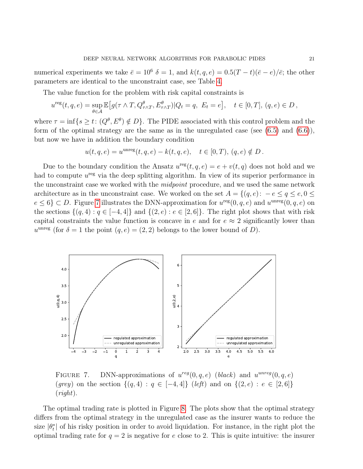numerical experiments we take  $\bar{e} = 10^6$   $\delta = 1$ , and  $k(t, q, e) = 0.5(T - t)(\bar{e} - e)/\bar{e}$ ; the other parameters are identical to the unconstraint case, see Table [4.](#page-18-0)

The value function for the problem with risk capital constraints is

$$
u^{\text{reg}}(t,q,e) = \sup_{\theta \in \mathcal{A}} \mathbb{E}\big[g(\tau \wedge T, Q_{\tau \wedge T}^{\theta}, E_{\tau \wedge T}^{\theta}) | Q_t = q, \ E_t = e\big], \quad t \in [0,T], (q,e) \in D,
$$

where  $\tau = \inf\{s \ge t : (Q^{\theta}, E^{\theta}) \notin D\}$ . The PIDE associated with this control problem and the form of the optimal strategy are the same as in the unregulated case (see  $(6.5)$ ) and  $(6.6)$ ), but now we have in addition the boundary condition

$$
u(t, q, e) = u^{\text{unreg}}(t, q, e) - k(t, q, e), \quad t \in [0, T), (q, e) \notin D.
$$

Due to the boundary condition the Ansatz  $u^{\text{reg}}(t, q, e) = e + v(t, q)$  does not hold and we had to compute  $u^{\text{reg}}$  via the deep splitting algorithm. In view of its superior performance in the unconstraint case we worked with the *midpoint* procedure, and we used the same network architecture as in the unconstraint case. We worked on the set  $A = \{(q, e): -e \leq q \leq e, 0 \leq \theta\}$  $e \le 6$   $\subset D$ . Figure [7](#page-20-0) illustrates the DNN-approximation for  $u^{\text{reg}}(0, q, e)$  and  $u^{\text{unreg}}(0, q, e)$  on the sections  $\{(q, 4) : q \in [-4, 4]\}$  and  $\{(2, e) : e \in [2, 6]\}$ . The right plot shows that with risk capital constraints the value function is concave in e and for  $e \approx 2$  significantly lower than  $u^{\text{unreg}}$  (for  $\delta = 1$  the point  $(q, e) = (2, 2)$  belongs to the lower bound of D).



<span id="page-20-0"></span>FIGURE 7. DNN-approximations of  $u^{reg}(0, q, e)$  (black) and  $u^{unreg}(0, q, e)$ (grey) on the section  $\{(q, 4) : q \in [-4, 4]\}$  (left) and on  $\{(2, e) : e \in [2, 6]\}$  $(\textit{right}).$ 

The optimal trading rate is plotted in Figure [8.](#page-21-2) The plots show that the optimal strategy differs from the optimal strategy in the unregulated case as the insurer wants to reduce the size  $|\theta_t^*|$  of his risky position in order to avoid liquidation. For instance, in the right plot the optimal trading rate for  $q = 2$  is negative for e close to 2. This is quite intuitive: the insurer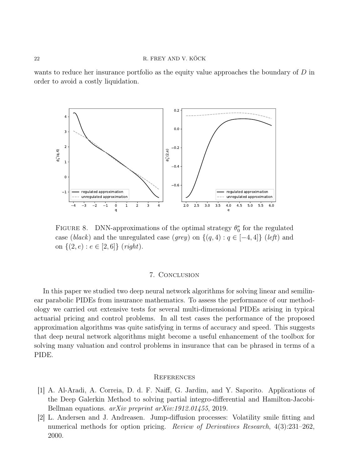wants to reduce her insurance portfolio as the equity value approaches the boundary of  $D$  in order to avoid a costly liquidation.



FIGURE 8. DNN-approximations of the optimal strategy  $\theta_0^*$  for the regulated case (black) and the unregulated case (grey) on  $\{(q, 4) : q \in [-4, 4]\}$  (left) and on  $\{(2, e) : e \in [2, 6]\}$  (right).

# <span id="page-21-2"></span>7. Conclusion

In this paper we studied two deep neural network algorithms for solving linear and semilinear parabolic PIDEs from insurance mathematics. To assess the performance of our methodology we carried out extensive tests for several multi-dimensional PIDEs arising in typical actuarial pricing and control problems. In all test cases the performance of the proposed approximation algorithms was quite satisfying in terms of accuracy and speed. This suggests that deep neural network algorithms might become a useful enhancement of the toolbox for solving many valuation and control problems in insurance that can be phrased in terms of a PIDE.

#### **REFERENCES**

- <span id="page-21-1"></span>[1] A. Al-Aradi, A. Correia, D. d. F. Naiff, G. Jardim, and Y. Saporito. Applications of the Deep Galerkin Method to solving partial integro-differential and Hamilton-Jacobi-Bellman equations. *arXiv preprint arXiv:1912.01455*, 2019.
- <span id="page-21-0"></span>[2] L. Andersen and J. Andreasen. Jump-diffusion processes: Volatility smile fitting and numerical methods for option pricing. Review of Derivatives Research, 4(3):231–262, 2000.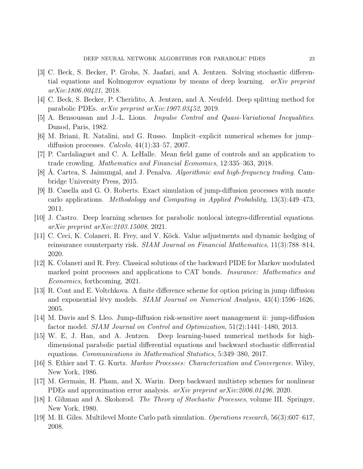- <span id="page-22-6"></span>[3] C. Beck, S. Becker, P. Grohs, N. Jaafari, and A. Jentzen. Solving stochastic differential equations and Kolmogorov equations by means of deep learning. arXiv preprint arXiv:1806.00421, 2018.
- <span id="page-22-5"></span>[4] C. Beck, S. Becker, P. Cheridito, A. Jentzen, and A. Neufeld. Deep splitting method for parabolic PDEs. arXiv preprint arXiv:1907.03452, 2019.
- <span id="page-22-13"></span>[5] A. Bensoussan and J.-L. Lions. Impulse Control and Quasi-Variational Inequalities. Dunod, Paris, 1982.
- <span id="page-22-1"></span>[6] M. Briani, R. Natalini, and G. Russo. Implicit–explicit numerical schemes for jump– diffusion processes. *Calcolo*,  $44(1):33-57$ ,  $2007$ .
- <span id="page-22-15"></span>[7] P. Cardaliaguet and C. A. LeHalle. Mean field game of controls and an application to trade crowding. Mathematics and Financial Economics, 12:335–363, 2018.
- <span id="page-22-16"></span>[8] Á. Cartea, S. Jaimungal, and J. Penalva. Algorithmic and high-frequency trading. Cambridge University Press, 2015.
- <span id="page-22-3"></span>[9] B. Casella and G. O. Roberts. Exact simulation of jump-diffusion processes with monte carlo applications. Methodology and Computing in Applied Probability, 13(3):449–473, 2011.
- <span id="page-22-8"></span>[10] J. Castro. Deep learning schemes for parabolic nonlocal integro-differential equations. arXiv preprint arXiv:2103.15008, 2021.
- <span id="page-22-9"></span>[11] C. Ceci, K. Colaneri, R. Frey, and V. Köck. Value adjustments and dynamic hedging of reinsurance counterparty risk. SIAM Journal on Financial Mathematics, 11(3):788–814, 2020.
- <span id="page-22-12"></span>[12] K. Colaneri and R. Frey. Classical solutions of the backward PIDE for Markov modulated marked point processes and applications to CAT bonds. Insurance: Mathematics and Economics, forthcoming, 2021.
- <span id="page-22-0"></span>[13] R. Cont and E. Voltchkova. A finite difference scheme for option pricing in jump diffusion and exponential lévy models. SIAM Journal on Numerical Analysis, 43(4):1596–1626, 2005.
- <span id="page-22-14"></span>[14] M. Davis and S. Lleo. Jump-diffusion risk-sensitive asset management ii: jump-diffusion factor model. SIAM Journal on Control and Optimization, 51(2):1441–1480, 2013.
- <span id="page-22-4"></span>[15] W. E, J. Han, and A. Jentzen. Deep learning-based numerical methods for highdimensional parabolic partial differential equations and backward stochastic differential equations. Communications in Mathematical Statistics, 5:349–380, 2017.
- <span id="page-22-11"></span>[16] S. Ethier and T. G. Kurtz. Markov Processes: Characterization and Convergence. Wiley, New York, 1986.
- <span id="page-22-7"></span>[17] M. Germain, H. Pham, and X. Warin. Deep backward multistep schemes for nonlinear PDEs and approximation error analysis. arXiv preprint arXiv:2006.01496, 2020.
- <span id="page-22-10"></span>[18] I. Gihman and A. Skohorod. The Theory of Stochastic Processes, volume III. Springer, New York, 1980.
- <span id="page-22-2"></span>[19] M. B. Giles. Multilevel Monte Carlo path simulation. Operations research, 56(3):607–617, 2008.